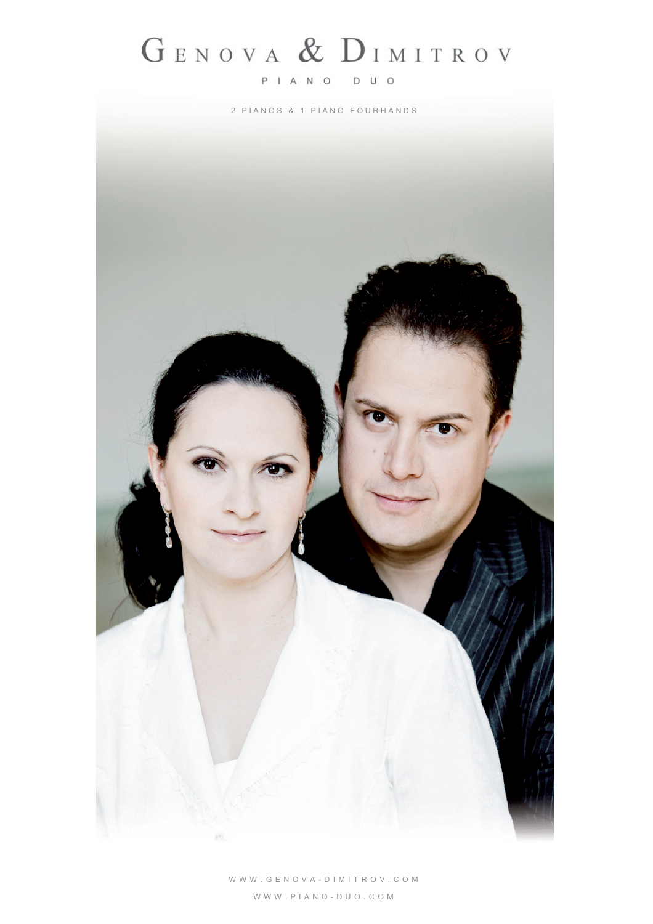## GENOVA & DIMITROV

## PIANO DUO

2 P I A N O S & 1 P I A N O F O U R H A N D S